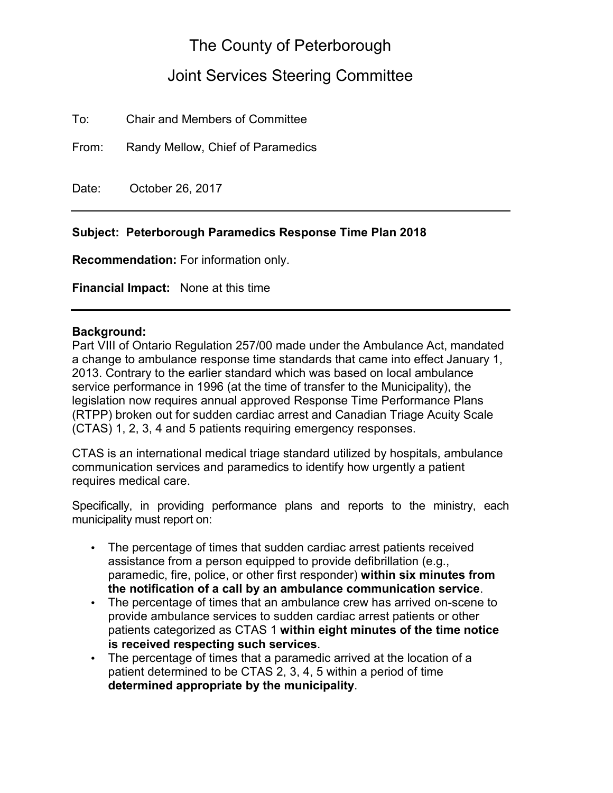## The County of Peterborough

# Joint Services Steering Committee

To: Chair and Members of Committee

From: Randy Mellow, Chief of Paramedics

Date: October 26, 2017

#### **Subject: Peterborough Paramedics Response Time Plan 2018**

**Recommendation:** For information only.

**Financial Impact:** None at this time

#### **Background:**

Part VIII of Ontario Regulation 257/00 made under the Ambulance Act, mandated a change to ambulance response time standards that came into effect January 1, 2013. Contrary to the earlier standard which was based on local ambulance service performance in 1996 (at the time of transfer to the Municipality), the legislation now requires annual approved Response Time Performance Plans (RTPP) broken out for sudden cardiac arrest and Canadian Triage Acuity Scale (CTAS) 1, 2, 3, 4 and 5 patients requiring emergency responses.

CTAS is an international medical triage standard utilized by hospitals, ambulance communication services and paramedics to identify how urgently a patient requires medical care.

Specifically, in providing performance plans and reports to the ministry, each municipality must report on:

- The percentage of times that sudden cardiac arrest patients received assistance from a person equipped to provide defibrillation (e.g., paramedic, fire, police, or other first responder) **within six minutes from the notification of a call by an ambulance communication service**.
- The percentage of times that an ambulance crew has arrived on-scene to provide ambulance services to sudden cardiac arrest patients or other patients categorized as CTAS 1 **within eight minutes of the time notice is received respecting such services**.
- The percentage of times that a paramedic arrived at the location of a patient determined to be CTAS 2, 3, 4, 5 within a period of time **determined appropriate by the municipality**.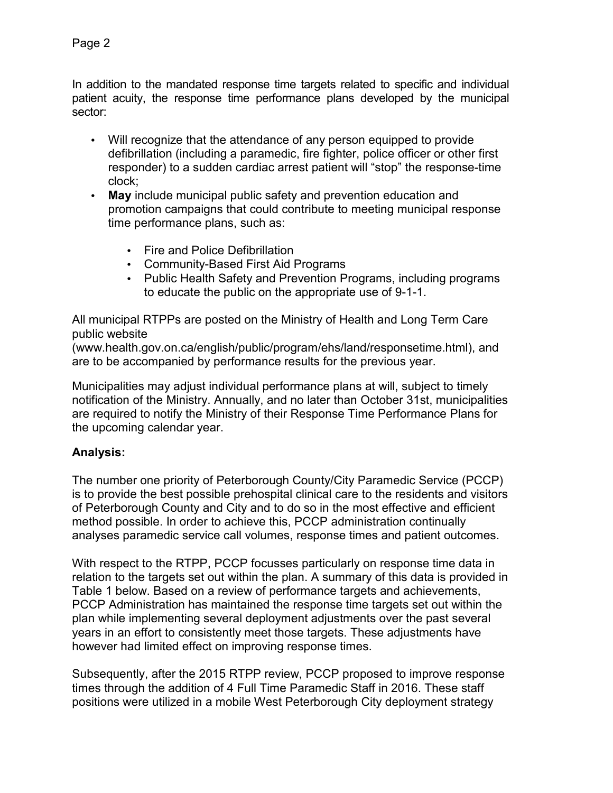In addition to the mandated response time targets related to specific and individual patient acuity, the response time performance plans developed by the municipal sector:

- Will recognize that the attendance of any person equipped to provide defibrillation (including a paramedic, fire fighter, police officer or other first responder) to a sudden cardiac arrest patient will "stop" the response-time clock;
- **May** include municipal public safety and prevention education and promotion campaigns that could contribute to meeting municipal response time performance plans, such as:
	- Fire and Police Defibrillation
	- Community-Based First Aid Programs
	- Public Health Safety and Prevention Programs, including programs to educate the public on the appropriate use of 9-1-1.

All municipal RTPPs are posted on the Ministry of Health and Long Term Care public website

(www.health.gov.on.ca/english/public/program/ehs/land/responsetime.html), and are to be accompanied by performance results for the previous year.

Municipalities may adjust individual performance plans at will, subject to timely notification of the Ministry. Annually, and no later than October 31st, municipalities are required to notify the Ministry of their Response Time Performance Plans for the upcoming calendar year.

### **Analysis:**

The number one priority of Peterborough County/City Paramedic Service (PCCP) is to provide the best possible prehospital clinical care to the residents and visitors of Peterborough County and City and to do so in the most effective and efficient method possible. In order to achieve this, PCCP administration continually analyses paramedic service call volumes, response times and patient outcomes.

With respect to the RTPP, PCCP focusses particularly on response time data in relation to the targets set out within the plan. A summary of this data is provided in Table 1 below. Based on a review of performance targets and achievements, PCCP Administration has maintained the response time targets set out within the plan while implementing several deployment adjustments over the past several years in an effort to consistently meet those targets. These adjustments have however had limited effect on improving response times.

Subsequently, after the 2015 RTPP review, PCCP proposed to improve response times through the addition of 4 Full Time Paramedic Staff in 2016. These staff positions were utilized in a mobile West Peterborough City deployment strategy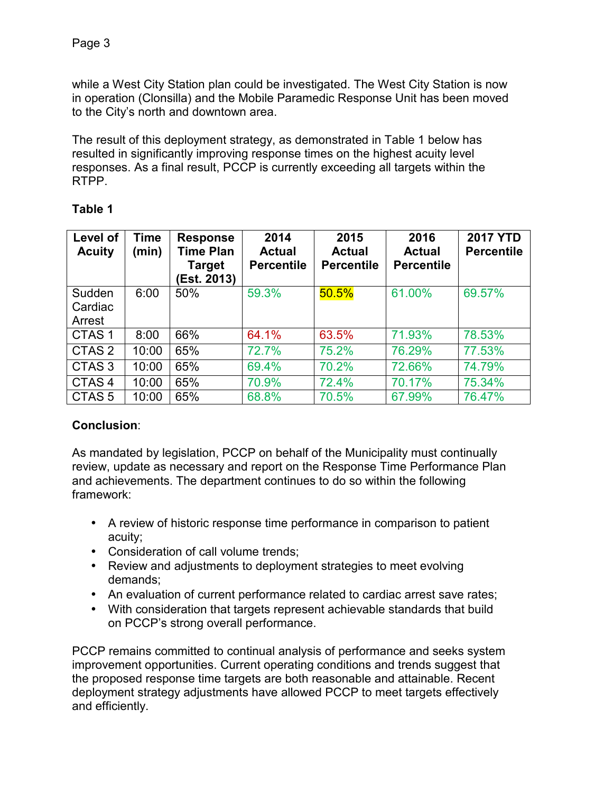while a West City Station plan could be investigated. The West City Station is now in operation (Clonsilla) and the Mobile Paramedic Response Unit has been moved to the City's north and downtown area.

The result of this deployment strategy, as demonstrated in Table 1 below has resulted in significantly improving response times on the highest acuity level responses. As a final result, PCCP is currently exceeding all targets within the RTPP.

| able |  |
|------|--|
|      |  |

| Level of<br><b>Acuity</b>   | <b>Time</b><br>(min) | <b>Response</b><br><b>Time Plan</b><br>Target<br>Est. 2013) | 2014<br><b>Actual</b><br><b>Percentile</b> | 2015<br><b>Actual</b><br><b>Percentile</b> | 2016<br><b>Actual</b><br><b>Percentile</b> | <b>2017 YTD</b><br><b>Percentile</b> |
|-----------------------------|----------------------|-------------------------------------------------------------|--------------------------------------------|--------------------------------------------|--------------------------------------------|--------------------------------------|
| Sudden<br>Cardiac<br>Arrest | 6:00                 | 50%                                                         | 59.3%                                      | 50.5%                                      | 61.00%                                     | 69.57%                               |
| CTAS <sub>1</sub>           | 8:00                 | 66%                                                         | 64.1%                                      | 63.5%                                      | 71.93%                                     | 78.53%                               |
| CTAS <sub>2</sub>           | 10:00                | 65%                                                         | 72.7%                                      | 75.2%                                      | 76.29%                                     | 77.53%                               |
| CTAS <sub>3</sub>           | 10:00                | 65%                                                         | 69.4%                                      | 70.2%                                      | 72.66%                                     | 74.79%                               |
| CTAS <sub>4</sub>           | 10:00                | 65%                                                         | 70.9%                                      | 72.4%                                      | 70.17%                                     | 75.34%                               |
| CTAS <sub>5</sub>           | 10:00                | 65%                                                         | 68.8%                                      | 70.5%                                      | 67.99%                                     | 76.47%                               |

### **Conclusion**:

As mandated by legislation, PCCP on behalf of the Municipality must continually review, update as necessary and report on the Response Time Performance Plan and achievements. The department continues to do so within the following framework:

- A review of historic response time performance in comparison to patient acuity;
- Consideration of call volume trends;
- Review and adjustments to deployment strategies to meet evolving demands;
- An evaluation of current performance related to cardiac arrest save rates;
- With consideration that targets represent achievable standards that build on PCCP's strong overall performance.

PCCP remains committed to continual analysis of performance and seeks system improvement opportunities. Current operating conditions and trends suggest that the proposed response time targets are both reasonable and attainable. Recent deployment strategy adjustments have allowed PCCP to meet targets effectively and efficiently.